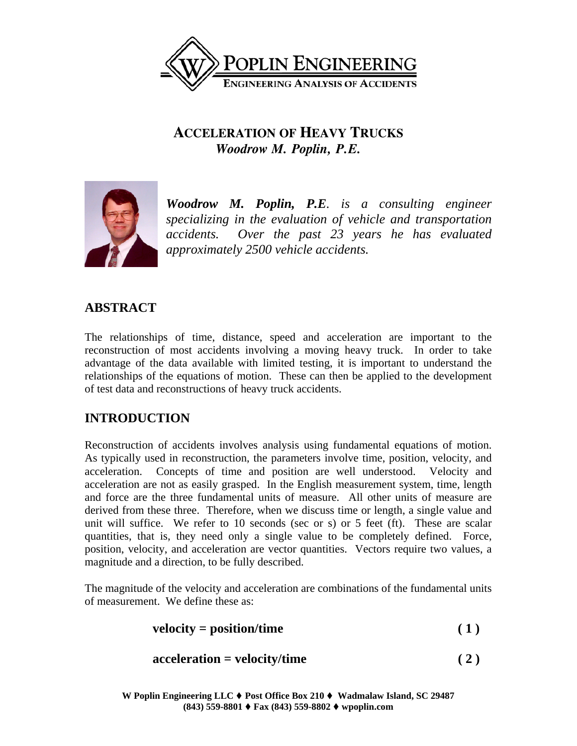

# **ACCELERATION OF HEAVY TRUCKS** *Woodrow M. Poplin, P.E.*



*Woodrow M. Poplin, P.E. is a consulting engineer specializing in the evaluation of vehicle and transportation accidents. Over the past 23 years he has evaluated approximately 2500 vehicle accidents.* 

### **ABSTRACT**

The relationships of time, distance, speed and acceleration are important to the reconstruction of most accidents involving a moving heavy truck. In order to take advantage of the data available with limited testing, it is important to understand the relationships of the equations of motion. These can then be applied to the development of test data and reconstructions of heavy truck accidents.

## **INTRODUCTION**

Reconstruction of accidents involves analysis using fundamental equations of motion. As typically used in reconstruction, the parameters involve time, position, velocity, and acceleration. Concepts of time and position are well understood. Velocity and acceleration are not as easily grasped. In the English measurement system, time, length and force are the three fundamental units of measure. All other units of measure are derived from these three. Therefore, when we discuss time or length, a single value and unit will suffice. We refer to 10 seconds (sec or s) or 5 feet (ft). These are scalar quantities, that is, they need only a single value to be completely defined. Force, position, velocity, and acceleration are vector quantities. Vectors require two values, a magnitude and a direction, to be fully described.

The magnitude of the velocity and acceleration are combinations of the fundamental units of measurement. We define these as:

$$
velocity = position/time
$$
 (1)

$$
acceleration = velocity/time
$$
 (2)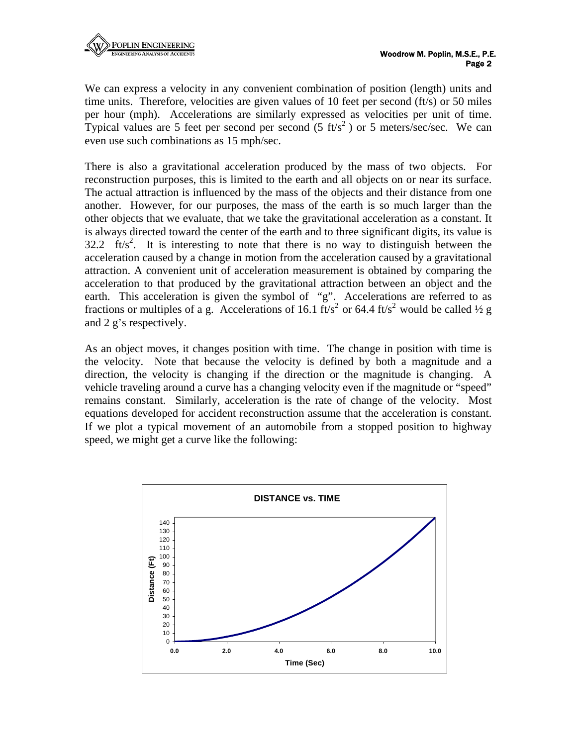We can express a velocity in any convenient combination of position (length) units and time units. Therefore, velocities are given values of 10 feet per second (ft/s) or 50 miles per hour (mph). Accelerations are similarly expressed as velocities per unit of time. Typical values are 5 feet per second per second  $(5 \text{ ft/s}^2)$  or 5 meters/sec/sec. We can even use such combinations as 15 mph/sec.

There is also a gravitational acceleration produced by the mass of two objects. For reconstruction purposes, this is limited to the earth and all objects on or near its surface. The actual attraction is influenced by the mass of the objects and their distance from one another. However, for our purposes, the mass of the earth is so much larger than the other objects that we evaluate, that we take the gravitational acceleration as a constant. It is always directed toward the center of the earth and to three significant digits, its value is 32.2  $\text{ft/s}^2$ . It is interesting to note that there is no way to distinguish between the acceleration caused by a change in motion from the acceleration caused by a gravitational attraction. A convenient unit of acceleration measurement is obtained by comparing the acceleration to that produced by the gravitational attraction between an object and the earth. This acceleration is given the symbol of "g". Accelerations are referred to as fractions or multiples of a g. Accelerations of 16.1 ft/s<sup>2</sup> or 64.4 ft/s<sup>2</sup> would be called <sup>1</sup>/<sub>2</sub> g and 2 g's respectively.

As an object moves, it changes position with time. The change in position with time is the velocity. Note that because the velocity is defined by both a magnitude and a direction, the velocity is changing if the direction or the magnitude is changing. A vehicle traveling around a curve has a changing velocity even if the magnitude or "speed" remains constant. Similarly, acceleration is the rate of change of the velocity. Most equations developed for accident reconstruction assume that the acceleration is constant. If we plot a typical movement of an automobile from a stopped position to highway speed, we might get a curve like the following:

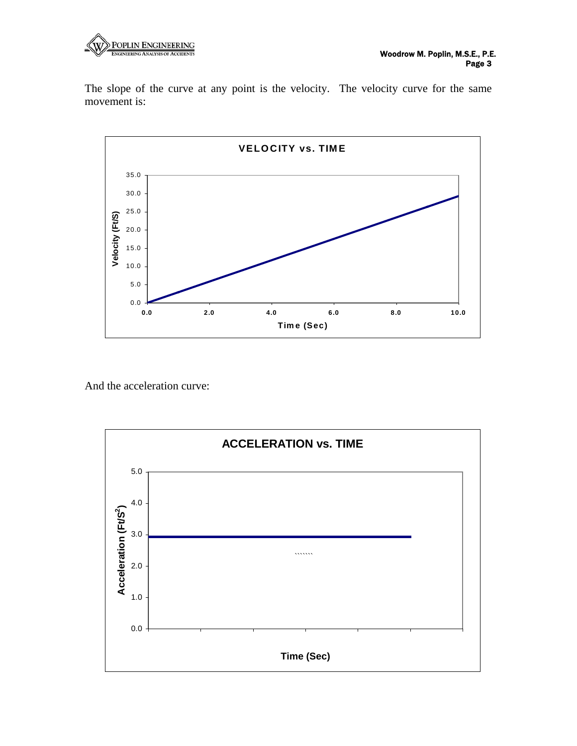

The slope of the curve at any point is the velocity. The velocity curve for the same movement is:



And the acceleration curve:

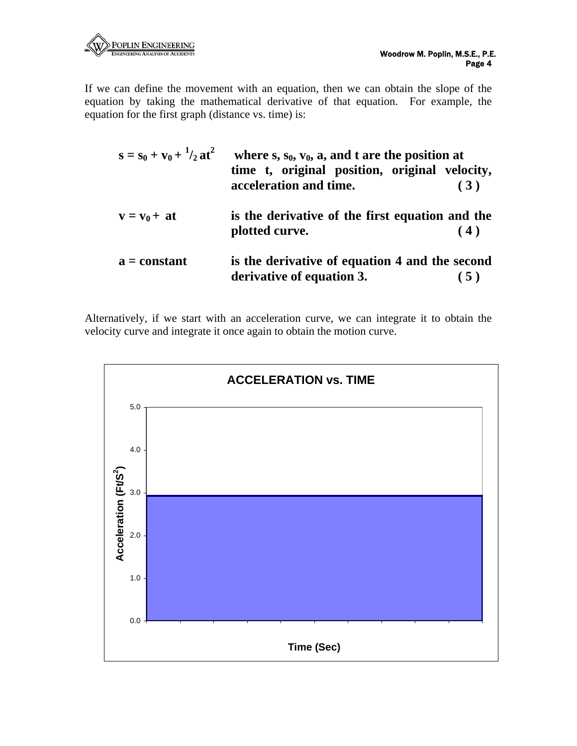

If we can define the movement with an equation, then we can obtain the slope of the equation by taking the mathematical derivative of that equation. For example, the equation for the first graph (distance vs. time) is:

| $s = s_0 + v_0 + \frac{1}{2}at^2$ | where $s, s_0, v_0, a$ , and t are the position at<br>time t, original position, original velocity,<br>acceleration and time. | (3) |  |
|-----------------------------------|-------------------------------------------------------------------------------------------------------------------------------|-----|--|
| $v = v_0 + at$                    | is the derivative of the first equation and the<br>plotted curve.                                                             | (4) |  |
| $a = constant$                    | is the derivative of equation 4 and the second<br>derivative of equation 3.                                                   | (5) |  |

Alternatively, if we start with an acceleration curve, we can integrate it to obtain the velocity curve and integrate it once again to obtain the motion curve.

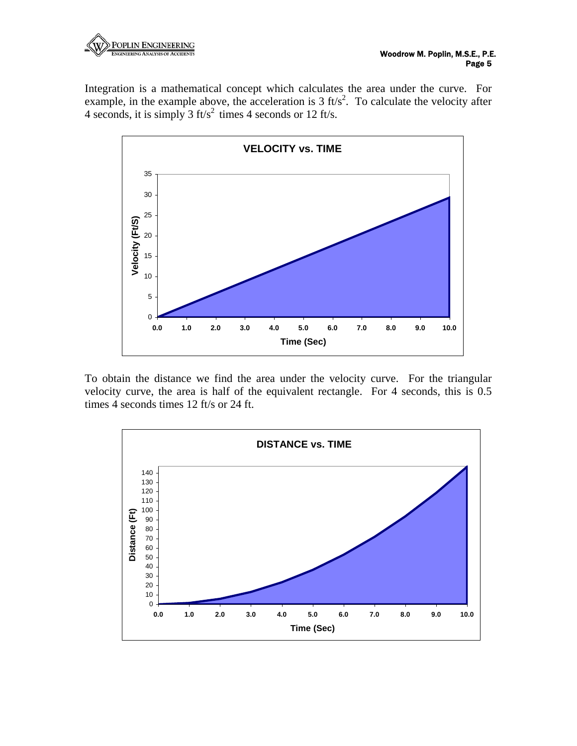

Integration is a mathematical concept which calculates the area under the curve. For example, in the example above, the acceleration is  $3 \text{ ft/s}^2$ . To calculate the velocity after 4 seconds, it is simply 3 ft/s<sup>2</sup> times 4 seconds or 12 ft/s.



To obtain the distance we find the area under the velocity curve. For the triangular velocity curve, the area is half of the equivalent rectangle. For 4 seconds, this is 0.5 times 4 seconds times 12 ft/s or 24 ft.

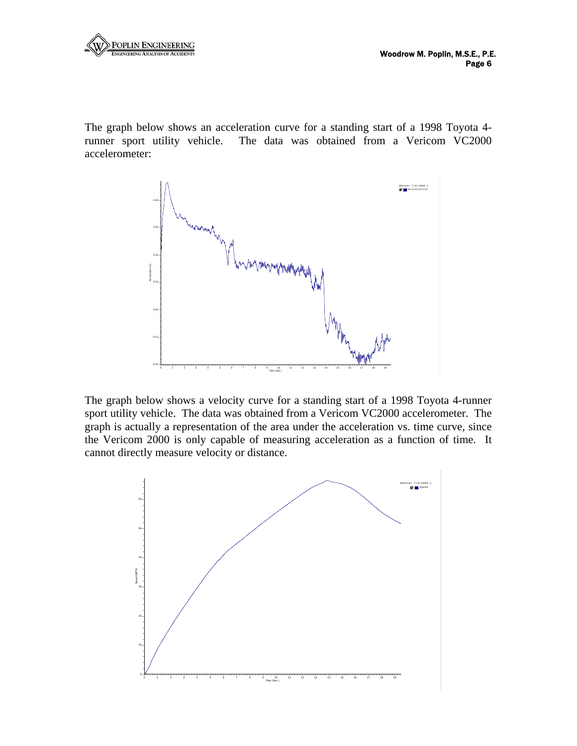

The graph below shows an acceleration curve for a standing start of a 1998 Toyota 4 runner sport utility vehicle. The data was obtained from a Vericom VC2000 accelerometer:



The graph below shows a velocity curve for a standing start of a 1998 Toyota 4-runner sport utility vehicle. The data was obtained from a Vericom VC2000 accelerometer. The graph is actually a representation of the area under the acceleration vs. time curve, since the Vericom 2000 is only capable of measuring acceleration as a function of time. It cannot directly measure velocity or distance.

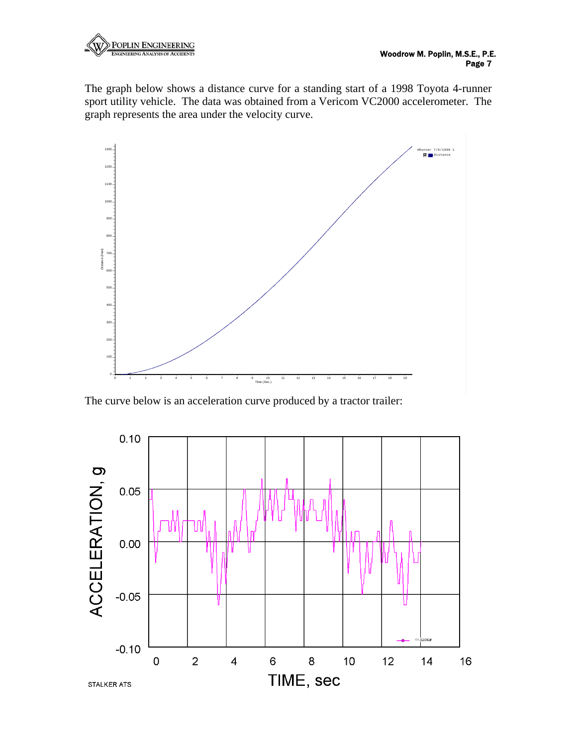

The graph below shows a distance curve for a standing start of a 1998 Toyota 4-runner sport utility vehicle. The data was obtained from a Vericom VC2000 accelerometer. The graph represents the area under the velocity curve.



The curve below is an acceleration curve produced by a tractor trailer:

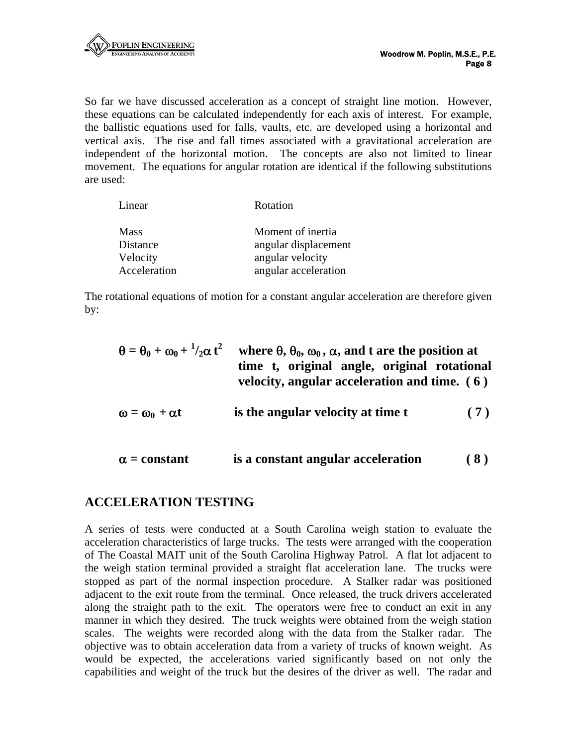So far we have discussed acceleration as a concept of straight line motion. However, these equations can be calculated independently for each axis of interest. For example, the ballistic equations used for falls, vaults, etc. are developed using a horizontal and vertical axis. The rise and fall times associated with a gravitational acceleration are independent of the horizontal motion. The concepts are also not limited to linear movement. The equations for angular rotation are identical if the following substitutions are used:

| Linear       | Rotation             |
|--------------|----------------------|
| <b>Mass</b>  | Moment of inertia    |
| Distance     | angular displacement |
| Velocity     | angular velocity     |
| Acceleration | angular acceleration |

The rotational equations of motion for a constant angular acceleration are therefore given by:

| $\theta = \theta_0 + \omega_0 + \frac{1}{2} \alpha t^2$ | where $\theta$ , $\theta_0$ , $\omega_0$ , $\alpha$ , and t are the position at<br>time t, original angle, original rotational<br>velocity, angular acceleration and time. $(6)$ |     |  |  |  |
|---------------------------------------------------------|----------------------------------------------------------------------------------------------------------------------------------------------------------------------------------|-----|--|--|--|
| $\omega = \omega_0 + \alpha t$                          | is the angular velocity at time t                                                                                                                                                | (7) |  |  |  |
| $\alpha$ = constant                                     | is a constant angular acceleration                                                                                                                                               |     |  |  |  |

#### **ACCELERATION TESTING**

A series of tests were conducted at a South Carolina weigh station to evaluate the acceleration characteristics of large trucks. The tests were arranged with the cooperation of The Coastal MAIT unit of the South Carolina Highway Patrol. A flat lot adjacent to the weigh station terminal provided a straight flat acceleration lane. The trucks were stopped as part of the normal inspection procedure. A Stalker radar was positioned adjacent to the exit route from the terminal. Once released, the truck drivers accelerated along the straight path to the exit. The operators were free to conduct an exit in any manner in which they desired. The truck weights were obtained from the weigh station scales. The weights were recorded along with the data from the Stalker radar. The objective was to obtain acceleration data from a variety of trucks of known weight. As would be expected, the accelerations varied significantly based on not only the capabilities and weight of the truck but the desires of the driver as well. The radar and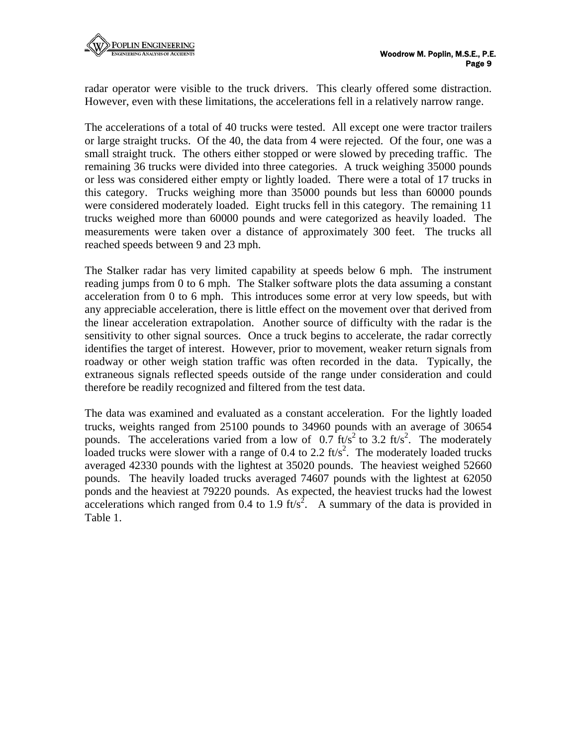radar operator were visible to the truck drivers. This clearly offered some distraction. However, even with these limitations, the accelerations fell in a relatively narrow range.

The accelerations of a total of 40 trucks were tested. All except one were tractor trailers or large straight trucks. Of the 40, the data from 4 were rejected. Of the four, one was a small straight truck. The others either stopped or were slowed by preceding traffic. The remaining 36 trucks were divided into three categories. A truck weighing 35000 pounds or less was considered either empty or lightly loaded. There were a total of 17 trucks in this category. Trucks weighing more than 35000 pounds but less than 60000 pounds were considered moderately loaded. Eight trucks fell in this category. The remaining 11 trucks weighed more than 60000 pounds and were categorized as heavily loaded. The measurements were taken over a distance of approximately 300 feet. The trucks all reached speeds between 9 and 23 mph.

The Stalker radar has very limited capability at speeds below 6 mph. The instrument reading jumps from 0 to 6 mph. The Stalker software plots the data assuming a constant acceleration from 0 to 6 mph. This introduces some error at very low speeds, but with any appreciable acceleration, there is little effect on the movement over that derived from the linear acceleration extrapolation. Another source of difficulty with the radar is the sensitivity to other signal sources. Once a truck begins to accelerate, the radar correctly identifies the target of interest. However, prior to movement, weaker return signals from roadway or other weigh station traffic was often recorded in the data. Typically, the extraneous signals reflected speeds outside of the range under consideration and could therefore be readily recognized and filtered from the test data.

The data was examined and evaluated as a constant acceleration. For the lightly loaded trucks, weights ranged from 25100 pounds to 34960 pounds with an average of 30654 pounds. The accelerations varied from a low of  $0.7 \text{ ft/s}^2$  to 3.2 ft/s<sup>2</sup>. The moderately loaded trucks were slower with a range of 0.4 to 2.2  $\text{ft/s}^2$ . The moderately loaded trucks averaged 42330 pounds with the lightest at 35020 pounds. The heaviest weighed 52660 pounds. The heavily loaded trucks averaged 74607 pounds with the lightest at 62050 ponds and the heaviest at 79220 pounds. As expected, the heaviest trucks had the lowest accelerations which ranged from 0.4 to 1.9 ft/s<sup>2</sup>. A summary of the data is provided in Table 1.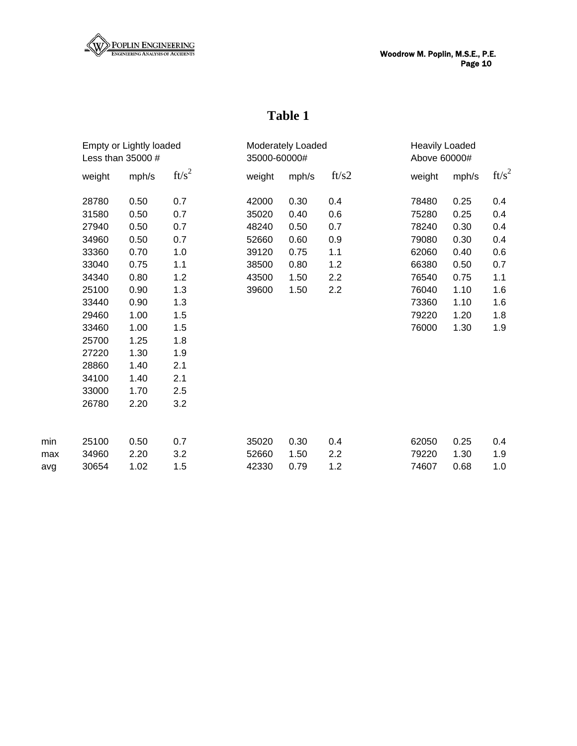

# **Table 1**

|     | Empty or Lightly loaded |       | Moderately Loaded<br>35000-60000# |        |       | <b>Heavily Loaded</b><br>Above 60000# |        |       |          |
|-----|-------------------------|-------|-----------------------------------|--------|-------|---------------------------------------|--------|-------|----------|
|     | Less than 35000 #       |       |                                   |        |       |                                       |        |       |          |
|     | weight                  | mph/s | $ft/s^2$                          | weight | mph/s | ft/s2                                 | weight | mph/s | $ft/s^2$ |
|     | 28780                   | 0.50  | 0.7                               | 42000  | 0.30  | 0.4                                   | 78480  | 0.25  | 0.4      |
|     | 31580                   | 0.50  | 0.7                               | 35020  | 0.40  | 0.6                                   | 75280  | 0.25  | 0.4      |
|     | 27940                   | 0.50  | 0.7                               | 48240  | 0.50  | 0.7                                   | 78240  | 0.30  | 0.4      |
|     | 34960                   | 0.50  | 0.7                               | 52660  | 0.60  | 0.9                                   | 79080  | 0.30  | 0.4      |
|     | 33360                   | 0.70  | 1.0                               | 39120  | 0.75  | 1.1                                   | 62060  | 0.40  | 0.6      |
|     | 33040                   | 0.75  | 1.1                               | 38500  | 0.80  | 1.2                                   | 66380  | 0.50  | 0.7      |
|     | 34340                   | 0.80  | 1.2                               | 43500  | 1.50  | 2.2                                   | 76540  | 0.75  | 1.1      |
|     | 25100                   | 0.90  | 1.3                               | 39600  | 1.50  | 2.2                                   | 76040  | 1.10  | 1.6      |
|     | 33440                   | 0.90  | 1.3                               |        |       |                                       | 73360  | 1.10  | 1.6      |
|     | 29460                   | 1.00  | 1.5                               |        |       |                                       | 79220  | 1.20  | 1.8      |
|     | 33460                   | 1.00  | 1.5                               |        |       |                                       | 76000  | 1.30  | 1.9      |
|     | 25700                   | 1.25  | 1.8                               |        |       |                                       |        |       |          |
|     | 27220                   | 1.30  | 1.9                               |        |       |                                       |        |       |          |
|     | 28860                   | 1.40  | 2.1                               |        |       |                                       |        |       |          |
|     | 34100                   | 1.40  | 2.1                               |        |       |                                       |        |       |          |
|     | 33000                   | 1.70  | 2.5                               |        |       |                                       |        |       |          |
|     | 26780                   | 2.20  | 3.2                               |        |       |                                       |        |       |          |
| min | 25100                   | 0.50  | 0.7                               | 35020  | 0.30  | 0.4                                   | 62050  | 0.25  | 0.4      |
| max | 34960                   | 2.20  | 3.2                               | 52660  | 1.50  | 2.2                                   | 79220  | 1.30  | 1.9      |
| avg | 30654                   | 1.02  | 1.5                               | 42330  | 0.79  | 1.2                                   | 74607  | 0.68  | 1.0      |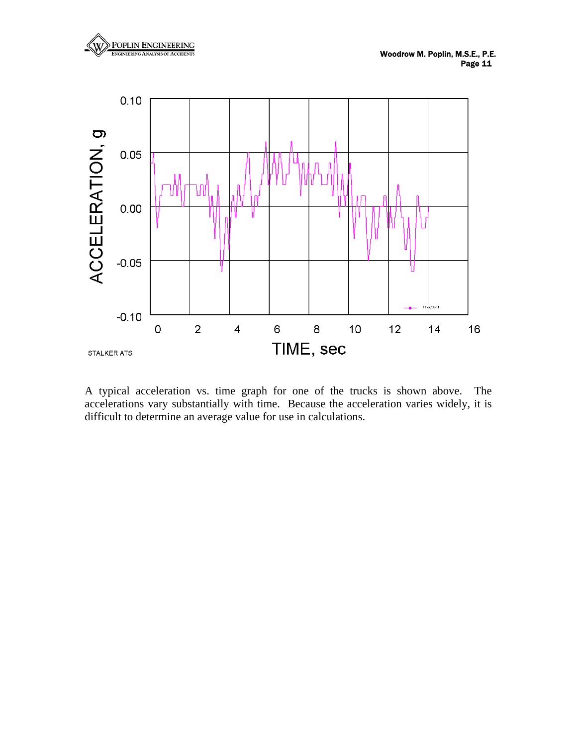



A typical acceleration vs. time graph for one of the trucks is shown above. The accelerations vary substantially with time. Because the acceleration varies widely, it is difficult to determine an average value for use in calculations.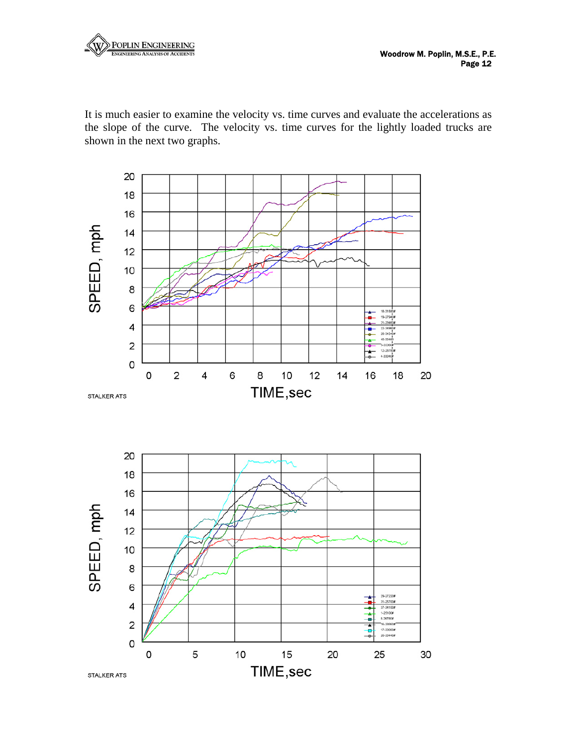

It is much easier to examine the velocity vs. time curves and evaluate the accelerations as the slope of the curve. The velocity vs. time curves for the lightly loaded trucks are shown in the next two graphs.

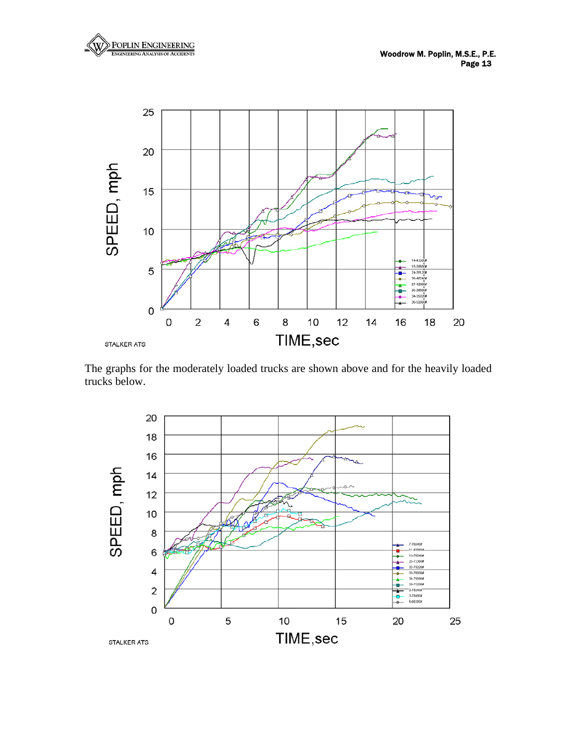



The graphs for the moderately loaded trucks are shown above and for the heavily loaded trucks below.

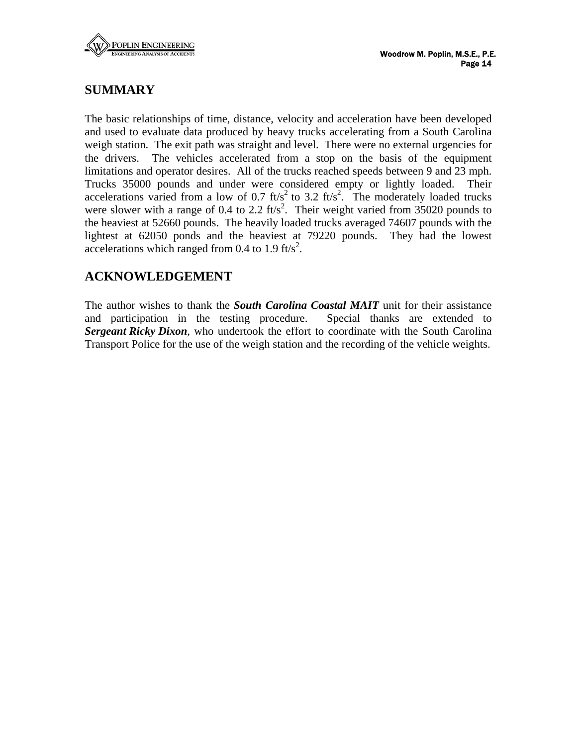

### **SUMMARY**

The basic relationships of time, distance, velocity and acceleration have been developed and used to evaluate data produced by heavy trucks accelerating from a South Carolina weigh station. The exit path was straight and level. There were no external urgencies for the drivers. The vehicles accelerated from a stop on the basis of the equipment limitations and operator desires. All of the trucks reached speeds between 9 and 23 mph. Trucks 35000 pounds and under were considered empty or lightly loaded. Their accelerations varied from a low of 0.7 ft/s<sup>2</sup> to 3.2 ft/s<sup>2</sup>. The moderately loaded trucks were slower with a range of 0.4 to 2.2 ft/s<sup>2</sup>. Their weight varied from 35020 pounds to the heaviest at 52660 pounds. The heavily loaded trucks averaged 74607 pounds with the lightest at 62050 ponds and the heaviest at 79220 pounds. They had the lowest accelerations which ranged from 0.4 to 1.9  $\text{ft/s}^2$ .

### **ACKNOWLEDGEMENT**

The author wishes to thank the *South Carolina Coastal MAIT* unit for their assistance and participation in the testing procedure. Special thanks are extended to *Sergeant Ricky Dixon*, who undertook the effort to coordinate with the South Carolina Transport Police for the use of the weigh station and the recording of the vehicle weights.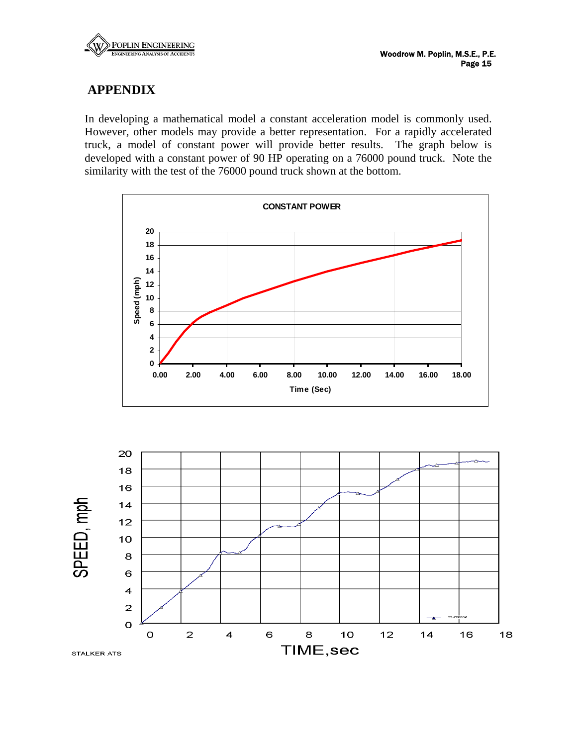

### **APPENDIX**

In developing a mathematical model a constant acceleration model is commonly used. However, other models may provide a better representation. For a rapidly accelerated truck, a model of constant power will provide better results. The graph below is developed with a constant power of 90 HP operating on a 76000 pound truck. Note the similarity with the test of the 76000 pound truck shown at the bottom.